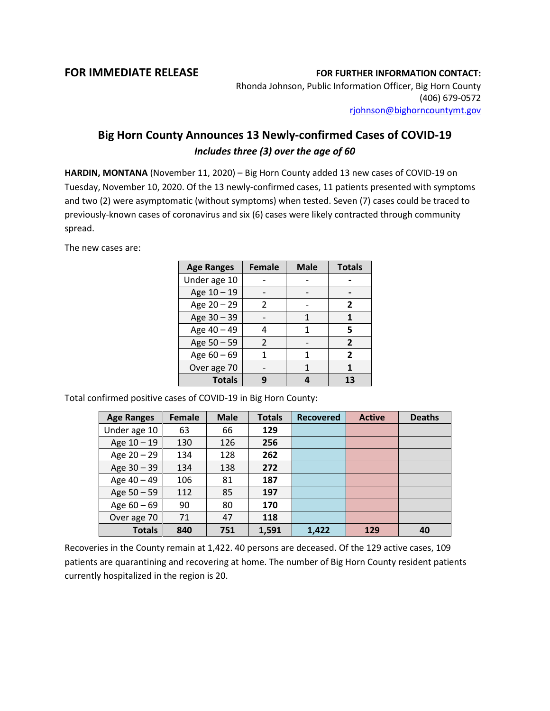## **FOR IMMEDIATE RELEASE FOR FURTHER INFORMATION CONTACT:**

Rhonda Johnson, Public Information Officer, Big Horn County (406) 679-0572 [rjohnson@bighorncountymt.gov](mailto:rjohnson@bighorncountymt.gov)

## **Big Horn County Announces 13 Newly-confirmed Cases of COVID-19** *Includes three (3) over the age of 60*

**HARDIN, MONTANA** (November 11, 2020) – Big Horn County added 13 new cases of COVID-19 on Tuesday, November 10, 2020. Of the 13 newly-confirmed cases, 11 patients presented with symptoms and two (2) were asymptomatic (without symptoms) when tested. Seven (7) cases could be traced to previously-known cases of coronavirus and six (6) cases were likely contracted through community spread.

The new cases are:

| <b>Age Ranges</b> | <b>Female</b>  | <b>Male</b> | <b>Totals</b>  |
|-------------------|----------------|-------------|----------------|
| Under age 10      |                |             |                |
| Age 10 - 19       |                |             |                |
| Age 20 - 29       | $\mathcal{P}$  |             | 2              |
| Age 30 - 39       |                | 1           | 1              |
| Age 40 - 49       |                | 1           | 5              |
| Age 50 - 59       | $\mathfrak{p}$ |             | $\overline{2}$ |
| Age 60 - 69       |                | 1           | $\overline{2}$ |
| Over age 70       |                | 1           | 1              |
| <b>Totals</b>     |                |             | 13             |

Total confirmed positive cases of COVID-19 in Big Horn County:

| <b>Age Ranges</b> | Female | <b>Male</b> | <b>Totals</b> | <b>Recovered</b> | <b>Active</b> | <b>Deaths</b> |
|-------------------|--------|-------------|---------------|------------------|---------------|---------------|
| Under age 10      | 63     | 66          | 129           |                  |               |               |
| Age $10 - 19$     | 130    | 126         | 256           |                  |               |               |
| Age $20 - 29$     | 134    | 128         | 262           |                  |               |               |
| Age $30 - 39$     | 134    | 138         | 272           |                  |               |               |
| Age 40 - 49       | 106    | 81          | 187           |                  |               |               |
| Age 50 - 59       | 112    | 85          | 197           |                  |               |               |
| Age $60 - 69$     | 90     | 80          | 170           |                  |               |               |
| Over age 70       | 71     | 47          | 118           |                  |               |               |
| <b>Totals</b>     | 840    | 751         | 1,591         | 1,422            | 129           | 40            |

Recoveries in the County remain at 1,422. 40 persons are deceased. Of the 129 active cases, 109 patients are quarantining and recovering at home. The number of Big Horn County resident patients currently hospitalized in the region is 20.